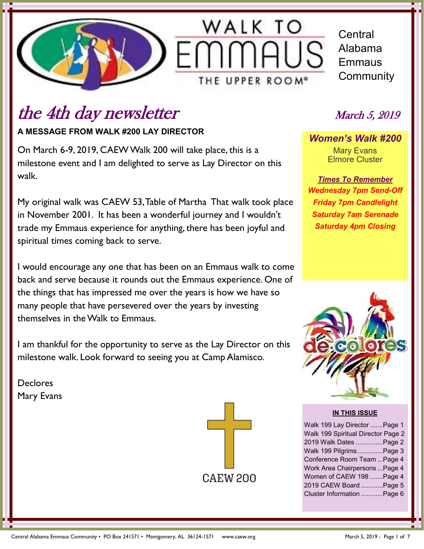

**Central** Alabama Emmaus **Community** 

## the 4th day newsletter March 5, 2019

**A MESSAGE FROM WALK #200 LAY DIRECTOR**

On March 6-9, 2019, CAEW Walk 200 will take place, this is a milestone event and I am delighted to serve as Lay Director on this walk.

My original walk was CAEW 53, Table of Martha That walk took place in November 2001. It has been a wonderful journey and I wouldn't trade my Emmaus experience for anything, there has been joyful and spiritual times coming back to serve.

I would encourage any one that has been on an Emmaus walk to come back and serve because it rounds out the Emmaus experience. One of the things that has impressed me over the years is how we have so many people that have persevered over the years by investing themselves in the Walk to Emmaus.

I am thankful for the opportunity to serve as the Lay Director on this milestone walk. Look forward to seeing you at Camp Alamisco.

Declores Mary Evans



*Women's Walk #200* Mary Evans Elmore Cluster

*Times To Remember Wednesday 7pm Send-Off Friday 7pm Candlelight Saturday 7am Serenade Saturday 4pm Closing*



#### **IN THIS ISSUE**

Walk 199 Lay Director .......Page 1 Walk 199 Spiritual Director Page 2 2019 Walk Dates ...............Page 2 Walk 199 Pilgrims..............Page 3 Conference Room Team ...Page 4 Work Area Chairpersons ...Page 4 Women of CAEW 198 .......Page 4 2019 CAEW Board ............Page 5 Cluster Information ............Page 6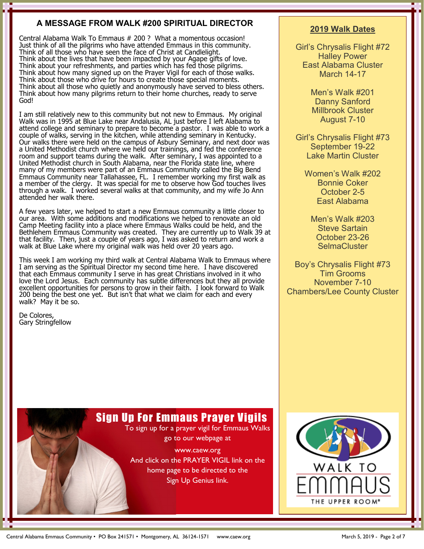#### **A MESSAGE FROM WALK #200 SPIRITUAL DIRECTOR**

Central Alabama Walk To Emmaus # 200 ? What a momentous occasion! Just think of all the pilgrims who have attended Emmaus in this community. Think of all those who have seen the face of Christ at Candlelight. Think about the lives that have been impacted by your Agape gifts of love. Think about your refreshments, and parties which has fed those pilgrims. Think about how many signed up on the Prayer Vigil for each of those walks. Think about those who drive for hours to create those special moments. Think about all those who quietly and anonymously have served to bless others. Think about how many pilgrims return to their home churches, ready to serve God!

I am still relatively new to this community but not new to Emmaus. My original Walk was in 1995 at Blue Lake near Andalusia, AL just before I left Alabama to attend college and seminary to prepare to become a pastor. I was able to work a couple of walks, serving in the kitchen, while attending seminary in Kentucky. Our walks there were held on the campus of Asbury Seminary, and next door was a United Methodist church where we held our trainings, and fed the conference room and support teams during the walk. After seminary, I was appointed to a United Methodist church in South Alabama, near the Florida state line, where many of my members were part of an Emmaus Community called the Big Bend Emmaus Community near Tallahassee, FL. I remember working my first walk as a member of the clergy. It was special for me to observe how God touches lives through a walk. I worked several walks at that community, and my wife Jo Ann attended her walk there.

A few years later, we helped to start a new Emmaus community a little closer to our area. With some additions and modifications we helped to renovate an old Camp Meeting facility into a place where Emmaus Walks could be held, and the Bethlehem Emmaus Community was created. They are currently up to Walk 39 at that facility. Then, just a couple of years ago, I was asked to return and work a walk at Blue Lake where my original walk was held over 20 years ago.

This week I am working my third walk at Central Alabama Walk to Emmaus where I am serving as the Spiritual Director my second time here. I have discovered that each Emmaus community I serve in has great Christians involved in it who love the Lord Jesus. Each community has subtle differences but they all provide excellent opportunities for persons to grow in their faith. I look forward to Walk 200 being the best one yet. But isn't that what we claim for each and every walk? May it be so.

De Colores, Gary Stringfellow

with the second second second

#### **2019 Walk Dates**

Girl's Chrysalis Flight #72 Halley Power East Alabama Cluster March 14-17

> Men's Walk #201 Danny Sanford Millbrook Cluster August 7-10

Girl's Chrysalis Flight #73 September 19-22 Lake Martin Cluster

> Women's Walk #202 Bonnie Coker October 2-5 East Alabama

Men's Walk #203 Steve Sartain October 23-26 **SelmaCluster** 

Boy's Chrysalis Flight #73 Tim Grooms November 7-10 Chambers/Lee County Cluster

## Sign Up For Emmaus Prayer Vigils

To sign up for a prayer vigil for Emmaus Walks go to our webpage at

www.caew.org And click on the PRAYER VIGIL link on the home page to be directed to the

Sign Up Genius link.

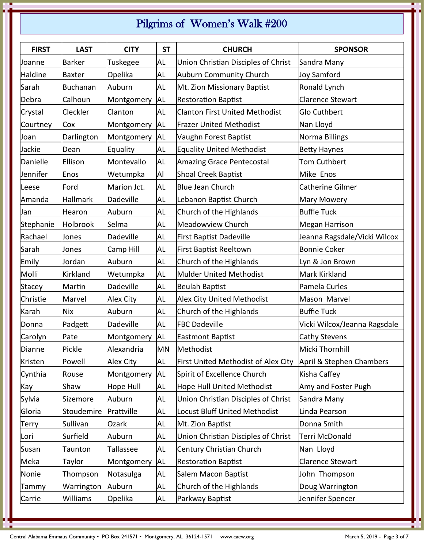## Pilgrims of Women's Walk #200

| <b>FIRST</b>  | <b>LAST</b>     | <b>CITY</b>      | <b>ST</b> | <b>CHURCH</b>                         | <b>SPONSOR</b>               |
|---------------|-----------------|------------------|-----------|---------------------------------------|------------------------------|
| Joanne        | <b>Barker</b>   | Tuskegee         | <b>AL</b> | Union Christian Disciples of Christ   | Sandra Many                  |
| Haldine       | <b>Baxter</b>   | Opelika          | <b>AL</b> | <b>Auburn Community Church</b>        | Joy Samford                  |
| Sarah         | <b>Buchanan</b> | Auburn           | <b>AL</b> | Mt. Zion Missionary Baptist           | Ronald Lynch                 |
| Debra         | Calhoun         | Montgomery       | <b>AL</b> | <b>Restoration Baptist</b>            | <b>Clarence Stewart</b>      |
| Crystal       | Cleckler        | Clanton          | AL        | <b>Clanton First United Methodist</b> | <b>Glo Cuthbert</b>          |
| Courtney      | Cox             | Montgomery       | <b>AL</b> | <b>Frazer United Methodist</b>        | Nan Lloyd                    |
| Joan          | Darlington      | Montgomery       | <b>AL</b> | Vaughn Forest Baptist                 | Norma Billings               |
| Jackie        | Dean            | Equality         | AL        | <b>Equality United Methodist</b>      | <b>Betty Haynes</b>          |
| Danielle      | Ellison         | Montevallo       | AL        | <b>Amazing Grace Pentecostal</b>      | <b>Tom Cuthbert</b>          |
| Jennifer      | Enos            | Wetumpka         | Al        | <b>Shoal Creek Baptist</b>            | Mike Enos                    |
| Leese         | Ford            | Marion Jct.      | <b>AL</b> | <b>Blue Jean Church</b>               | <b>Catherine Gilmer</b>      |
| Amanda        | Hallmark        | Dadeville        | AL        | Lebanon Baptist Church                | <b>Mary Mowery</b>           |
| Jan           | Hearon          | Auburn           | AL        | Church of the Highlands               | <b>Buffie Tuck</b>           |
| Stephanie     | Holbrook        | Selma            | <b>AL</b> | <b>Meadowview Church</b>              | <b>Megan Harrison</b>        |
| Rachael       | Jones           | Dadeville        | AL        | <b>First Baptist Dadeville</b>        | Jeanna Ragsdale/Vicki Wilcox |
| Sarah         | Jones           | Camp Hill        | <b>AL</b> | <b>First Baptist Reeltown</b>         | <b>Bonnie Coker</b>          |
| Emily         | Jordan          | Auburn           | <b>AL</b> | Church of the Highlands               | Lyn & Jon Brown              |
| Molli         | Kirkland        | Wetumpka         | AL        | <b>Mulder United Methodist</b>        | Mark Kirkland                |
| <b>Stacey</b> | Martin          | Dadeville        | <b>AL</b> | <b>Beulah Baptist</b>                 | Pamela Curles                |
| Christie      | Marvel          | Alex City        | AL        | <b>Alex City United Methodist</b>     | Mason Marvel                 |
| Karah         | Nix             | Auburn           | AL        | Church of the Highlands               | <b>Buffie Tuck</b>           |
| Donna         | Padgett         | Dadeville        | AL        | <b>FBC Dadeville</b>                  | Vicki Wilcox/Jeanna Ragsdale |
| Carolyn       | Pate            | Montgomery       | <b>AL</b> | <b>Eastmont Baptist</b>               | Cathy Stevens                |
| Dianne        | Pickle          | Alexandria       | <b>MN</b> | Methodist                             | Micki Thornhill              |
| Kristen       | Powell          | Alex City        | AL        | First United Methodist of Alex City   | April & Stephen Chambers     |
| Cynthia       | Rouse           | Montgomery       | <b>AL</b> | Spirit of Excellence Church           | Kisha Caffey                 |
| Kay           | Shaw            | <b>Hope Hull</b> | AL        | <b>Hope Hull United Methodist</b>     | Amy and Foster Pugh          |
| Sylvia        | Sizemore        | Auburn           | AL        | Union Christian Disciples of Christ   | Sandra Many                  |
| Gloria        | Stoudemire      | Prattville       | AL        | <b>Locust Bluff United Methodist</b>  | Linda Pearson                |
| Terry         | Sullivan        | Ozark            | AL        | Mt. Zion Baptist                      | Donna Smith                  |
| Lori          | Surfield        | Auburn           | AL        | Union Christian Disciples of Christ   | Terri McDonald               |
| Susan         | Taunton         | Tallassee        | AL        | Century Christian Church              | Nan Lloyd                    |
| Meka          | Taylor          | Montgomery       | <b>AL</b> | <b>Restoration Baptist</b>            | <b>Clarence Stewart</b>      |
| Nonie         | Thompson        | Notasulga        | AL        | Salem Macon Baptist                   | John Thompson                |
| Tammy         | Warrington      | Auburn           | AL        | Church of the Highlands               | Doug Warrington              |
| Carrie        | Williams        | Opelika          | AL        | Parkway Baptist                       | Jennifer Spencer             |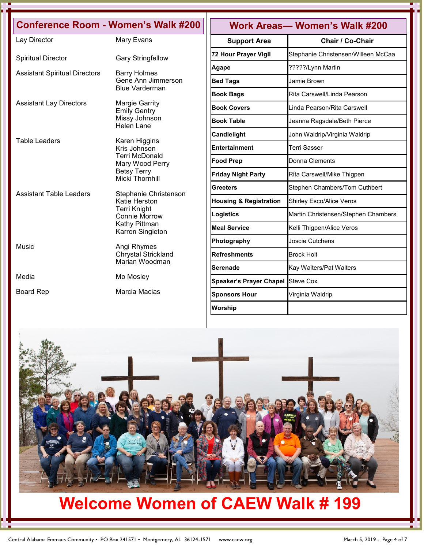|                                      | <b>Conference Room - Women's Walk #200</b>   | <b>Work Areas- Women's Walk #200</b> |                                     |  |
|--------------------------------------|----------------------------------------------|--------------------------------------|-------------------------------------|--|
| Lay Director                         | Mary Evans                                   | <b>Support Area</b>                  | <b>Chair / Co-Chair</b>             |  |
| <b>Spiritual Director</b>            | <b>Gary Stringfellow</b>                     | 72 Hour Prayer Vigil                 | Stephanie Christensen/Willeen McCaa |  |
|                                      |                                              | <b>Agape</b>                         | ?????/Lynn Martin                   |  |
| <b>Assistant Spiritual Directors</b> | <b>Barry Holmes</b><br>Gene Ann Jimmerson    | <b>Bed Tags</b>                      | Jamie Brown                         |  |
|                                      | <b>Blue Varderman</b>                        | <b>Book Bags</b>                     | Rita Carswell/Linda Pearson         |  |
| <b>Assistant Lay Directors</b>       | <b>Margie Garrity</b><br><b>Emily Gentry</b> | <b>Book Covers</b>                   | Linda Pearson/Rita Carswell         |  |
|                                      | Missy Johnson<br>Helen Lane                  | <b>Book Table</b>                    | Jeanna Ragsdale/Beth Pierce         |  |
|                                      |                                              | <b>Candlelight</b>                   | John Waldrip/Virginia Waldrip       |  |
| Table Leaders                        | Karen Higgins<br>Kris Johnson                | Entertainment                        | <b>Terri Sasser</b>                 |  |
|                                      | <b>Terri McDonald</b><br>Mary Wood Perry     | <b>Food Prep</b>                     | Donna Clements                      |  |
|                                      | <b>Betsy Terry</b><br><b>Micki Thornhill</b> | <b>Friday Night Party</b>            | Rita Carswell/Mike Thigpen          |  |
| <b>Assistant Table Leaders</b>       | Stephanie Christenson                        | Greeters                             | Stephen Chambers/Tom Cuthbert       |  |
|                                      | Katie Herston                                | <b>Housing &amp; Registration</b>    | <b>Shirley Esco/Alice Veros</b>     |  |
|                                      | <b>Terri Knight</b><br><b>Connie Morrow</b>  | Logistics                            | Martin Christensen/Stephen Chambers |  |
|                                      | Kathy Pittman<br>Karron Singleton            | <b>Meal Service</b>                  | Kelli Thigpen/Alice Veros           |  |
| Music                                | Angi Rhymes                                  | Photography                          | Joscie Cutchens                     |  |
|                                      | Chrystal Strickland                          | <b>Refreshments</b>                  | <b>Brock Holt</b>                   |  |
|                                      | Marian Woodman                               | Serenade                             | Kay Walters/Pat Walters             |  |
| Media                                | Mo Mosley                                    | <b>Speaker's Prayer Chapel</b>       | <b>Steve Cox</b>                    |  |
| <b>Board Rep</b>                     | Marcia Macias                                | <b>Sponsors Hour</b>                 | Virginia Waldrip                    |  |
|                                      |                                              | Worship                              |                                     |  |



# **Welcome Women of CAEW Walk # 199**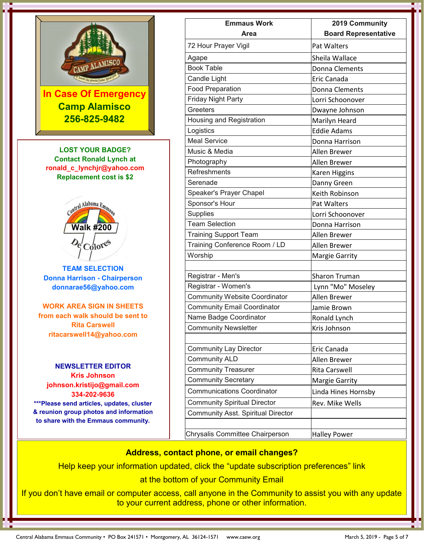

**Camp Alamisco 256-825-9482**

**LOST YOUR BADGE? Contact Ronald Lynch at [ronald\\_c\\_lynchjr@yahoo.com](mailto:abcdmattox@hotmail.com) Replacement cost is \$2**



**TEAM SELECTION Donna Harrison - Chairperson donnarae5[6@yahoo.com](mailto:abcdmattox@hotmail.com)**

**WORK AREA SIGN IN SHEETS from each walk should be sent to Rita Carswell [ritacarswell14@yahoo.com](mailto:abcdmattox@hotmail.com)**

**NEWSLETTER EDITOR Kris Johnson johnson.kristijo@gmail.com 334-202-9636 \*\*\*Please send articles, updates, cluster & reunion group photos and information to share with the Emmaus community.**

| <b>Emmaus Work</b>                        | 2019 Community              |
|-------------------------------------------|-----------------------------|
| <b>Area</b>                               | <b>Board Representative</b> |
| 72 Hour Prayer Vigil                      | Pat Walters                 |
| Agape                                     | Sheila Wallace              |
| <b>Book Table</b>                         | Donna Clements              |
| Candle Light                              | Eric Canada                 |
| <b>Food Preparation</b>                   | Donna Clements              |
| <b>Friday Night Party</b>                 | Lorri Schoonover            |
| Greeters                                  | Dwayne Johnson              |
| Housing and Registration                  | Marilyn Heard               |
| Logistics                                 | <b>Eddie Adams</b>          |
| <b>Meal Service</b>                       | Donna Harrison              |
| Music & Media                             | Allen Brewer                |
| Photography                               | Allen Brewer                |
| Refreshments                              | Karen Higgins               |
| Serenade                                  | Danny Green                 |
| Speaker's Prayer Chapel                   | Keith Robinson              |
| Sponsor's Hour                            | Pat Walters                 |
| Supplies                                  | Lorri Schoonover            |
| <b>Team Selection</b>                     | Donna Harrison              |
| <b>Training Support Team</b>              | Allen Brewer                |
| Training Conference Room / LD             | Allen Brewer                |
| Worship                                   | Margie Garrity              |
|                                           |                             |
| Registrar - Men's                         | <b>Sharon Truman</b>        |
| Registrar - Women's                       | Lynn "Mo" Moseley           |
| <b>Community Website Coordinator</b>      | Allen Brewer                |
| <b>Community Email Coordinator</b>        | Jamie Brown                 |
| Name Badge Coordinator                    | Ronald Lynch                |
| <b>Community Newsletter</b>               | Kris Johnson                |
| <b>Community Lay Director</b>             | Eric Canada                 |
| <b>Community ALD</b>                      | Allen Brewer                |
| <b>Community Treasurer</b>                | Rita Carswell               |
| <b>Community Secretary</b>                | Margie Garrity              |
| <b>Communications Coordinator</b>         |                             |
|                                           | Linda Hines Hornsby         |
| <b>Community Spiritual Director</b>       | Rev. Mike Wells             |
| <b>Community Asst. Spiritual Director</b> |                             |
| Chrysalis Committee Chairperson           | <b>Halley Power</b>         |

#### **Address, contact phone, or email changes?**

Help keep your information updated, click the "update subscription preferences" link

at the bottom of your Community Email

If you don't have email or computer access, call anyone in the Community to assist you with any update to your current address, phone or other information.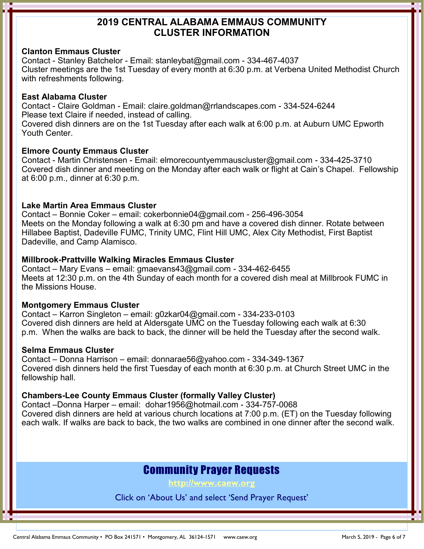### **2019 CENTRAL ALABAMA EMMAUS COMMUNITY CLUSTER INFORMATION**

#### **Clanton Emmaus Cluster**

Contact - Stanley Batchelor - Email: stanleybat@gmail.com - 334-467-4037 Cluster meetings are the 1st Tuesday of every month at 6:30 p.m. at Verbena United Methodist Church with refreshments following.

#### **East Alabama Cluster**

Contact - Claire Goldman - Email: claire.goldman@rrlandscapes.com - 334-524-6244 Please text Claire if needed, instead of calling.

Covered dish dinners are on the 1st Tuesday after each walk at 6:00 p.m. at Auburn UMC Epworth Youth Center.

#### **Elmore County Emmaus Cluster**

Contact - Martin Christensen - Email: elmorecountyemmauscluster@gmail.com - 334-425-3710 Covered dish dinner and meeting on the Monday after each walk or flight at Cain's Chapel. Fellowship at 6:00 p.m., dinner at 6:30 p.m.

#### **Lake Martin Area Emmaus Cluster**

Contact – Bonnie Coker – email: cokerbonnie04@gmail.com - 256-496-3054 Meets on the Monday following a walk at 6:30 pm and have a covered dish dinner. Rotate between Hillabee Baptist, Dadeville FUMC, Trinity UMC, Flint Hill UMC, Alex City Methodist, First Baptist Dadeville, and Camp Alamisco.

#### **Millbrook-Prattville Walking Miracles Emmaus Cluster**

Contact – Mary Evans – email: gmaevans43@gmail.com - 334-462-6455 Meets at 12:30 p.m. on the 4th Sunday of each month for a covered dish meal at Millbrook FUMC in the Missions House.

#### **Montgomery Emmaus Cluster**

Contact – Karron Singleton – email: g0zkar04@gmail.com - 334-233-0103 Covered dish dinners are held at Aldersgate UMC on the Tuesday following each walk at 6:30 p.m. When the walks are back to back, the dinner will be held the Tuesday after the second walk.

#### **Selma Emmaus Cluster**

Contact – Donna Harrison – email: donnarae56@yahoo.com - 334-349-1367 Covered dish dinners held the first Tuesday of each month at 6:30 p.m. at Church Street UMC in the fellowship hall.

#### **Chambers-Lee County Emmaus Cluster (formally Valley Cluster)**

Contact –Donna Harper – email: dohar1956@hotmail.com - 334-757-0068 Covered dish dinners are held at various church locations at 7:00 p.m. (ET) on the Tuesday following each walk. If walks are back to back, the two walks are combined in one dinner after the second walk.

## Community Prayer Requests

**[http://www.caew.org](http://www.caew.org/Send_A_Prayer_Request.html)**

Click on 'About Us' and select 'Send Prayer Request'